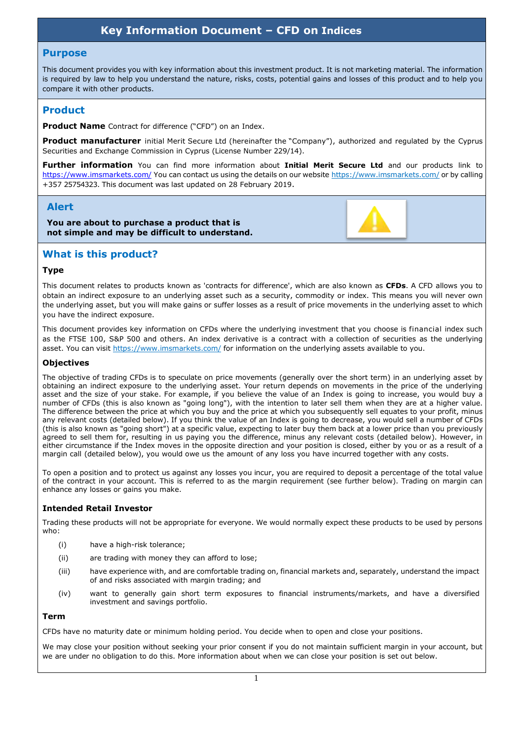# **Key Information Document – CFD on Indices**

#### **Purpose**

This document provides you with key information about this investment product. It is not marketing material. The information is required by law to help you understand the nature, risks, costs, potential gains and losses of this product and to help you compare it with other products.

## **Product**

**Product Name** Contract for difference ("CFD") on an Index.

**Product manufacturer** initial Merit Secure Ltd (hereinafter the "Company"), authorized and regulated by the Cyprus Securities and Exchange Commission in Cyprus (License Number 229/14).

**Further information** You can find more information about **Initial Merit Secure Ltd** and our products link to <https://www.imsmarkets.com/> You can contact us using the details on our website https://www.imsmarkets.com/ or by calling +357 25754323. This document was last updated on 28 February 2019.

## **Alert**

**You are about to purchase a product that is not simple and may be difficult to understand.**



## **What is this product?**

#### **Type**

This document relates to products known as 'contracts for difference', which are also known as **CFDs**. A CFD allows you to obtain an indirect exposure to an underlying asset such as a security, commodity or index. This means you will never own the underlying asset, but you will make gains or suffer losses as a result of price movements in the underlying asset to which you have the indirect exposure.

This document provides key information on CFDs where the underlying investment that you choose is financial index such as the FTSE 100, S&P 500 and others. An index derivative is a contract with a collection of securities as the underlying asset. You can visit https://www.imsmarkets.com/ for information on the underlying assets available to you.

#### **Objectives**

The objective of trading CFDs is to speculate on price movements (generally over the short term) in an underlying asset by obtaining an indirect exposure to the underlying asset. Your return depends on movements in the price of the underlying asset and the size of your stake. For example, if you believe the value of an Index is going to increase, you would buy a number of CFDs (this is also known as "going long"), with the intention to later sell them when they are at a higher value. The difference between the price at which you buy and the price at which you subsequently sell equates to your profit, minus any relevant costs (detailed below). If you think the value of an Index is going to decrease, you would sell a number of CFDs (this is also known as "going short") at a specific value, expecting to later buy them back at a lower price than you previously agreed to sell them for, resulting in us paying you the difference, minus any relevant costs (detailed below). However, in either circumstance if the Index moves in the opposite direction and your position is closed, either by you or as a result of a margin call (detailed below), you would owe us the amount of any loss you have incurred together with any costs.

To open a position and to protect us against any losses you incur, you are required to deposit a percentage of the total value of the contract in your account. This is referred to as the margin requirement (see further below). Trading on margin can enhance any losses or gains you make.

## **Intended Retail Investor**

Trading these products will not be appropriate for everyone. We would normally expect these products to be used by persons who:

- (i) have a high-risk tolerance;
- (ii) are trading with money they can afford to lose;
- (iii) have experience with, and are comfortable trading on, financial markets and, separately, understand the impact of and risks associated with margin trading; and
- (iv) want to generally gain short term exposures to financial instruments/markets, and have a diversified investment and savings portfolio.

#### **Term**

CFDs have no maturity date or minimum holding period. You decide when to open and close your positions.

We may close your position without seeking your prior consent if you do not maintain sufficient margin in your account, but we are under no obligation to do this. More information about when we can close your position is set out below.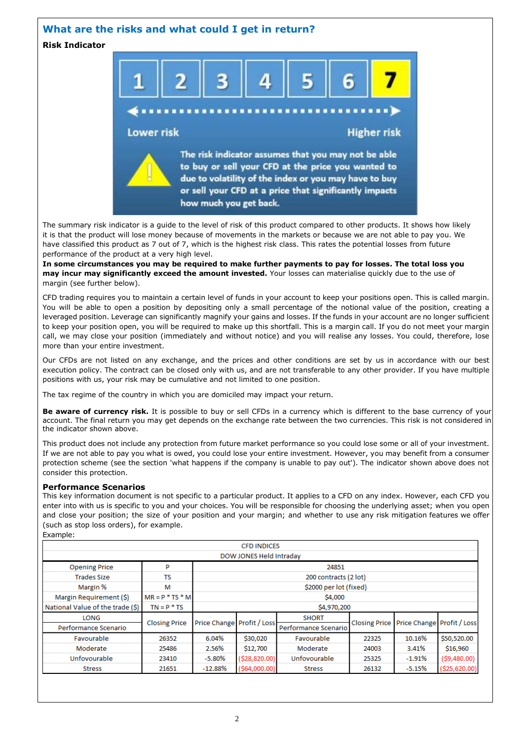## **What are the risks and what could I get in return?**

**Risk Indicator**



The summary risk indicator is a guide to the level of risk of this product compared to other products. It shows how likely it is that the product will lose money because of movements in the markets or because we are not able to pay you. We have classified this product as 7 out of 7, which is the highest risk class. This rates the potential losses from future performance of the product at a very high level.

**In some circumstances you may be required to make further payments to pay for losses. The total loss you may incur may significantly exceed the amount invested.** Your losses can materialise quickly due to the use of margin (see further below).

CFD trading requires you to maintain a certain level of funds in your account to keep your positions open. This is called margin. You will be able to open a position by depositing only a small percentage of the notional value of the position, creating a leveraged position. Leverage can significantly magnify your gains and losses. If the funds in your account are no longer sufficient to keep your position open, you will be required to make up this shortfall. This is a margin call. If you do not meet your margin call, we may close your position (immediately and without notice) and you will realise any losses. You could, therefore, lose more than your entire investment.

Our CFDs are not listed on any exchange, and the prices and other conditions are set by us in accordance with our best execution policy. The contract can be closed only with us, and are not transferable to any other provider. If you have multiple positions with us, your risk may be cumulative and not limited to one position.

The tax regime of the country in which you are domiciled may impact your return.

**Be aware of currency risk.** It is possible to buy or sell CFDs in a currency which is different to the base currency of your account. The final return you may get depends on the exchange rate between the two currencies. This risk is not considered in the indicator shown above.

This product does not include any protection from future market performance so you could lose some or all of your investment. If we are not able to pay you what is owed, you could lose your entire investment. However, you may benefit from a consumer protection scheme (see the section 'what happens if the company is unable to pay out'). The indicator shown above does not consider this protection.

#### **Performance Scenarios**

This key information document is not specific to a particular product. It applies to a CFD on any index. However, each CFD you enter into with us is specific to you and your choices. You will be responsible for choosing the underlying asset; when you open and close your position; the size of your position and your margin; and whether to use any risk mitigation features we offer (such as stop loss orders), for example.

Example:

| <b>CFD INDICES</b>               |                      |                            |                  |                      |       |                                          |                 |  |  |
|----------------------------------|----------------------|----------------------------|------------------|----------------------|-------|------------------------------------------|-----------------|--|--|
| DOW JONES Held Intraday          |                      |                            |                  |                      |       |                                          |                 |  |  |
| <b>Opening Price</b>             | P                    | 24851                      |                  |                      |       |                                          |                 |  |  |
| <b>Trades Size</b>               | TS                   | 200 contracts (2 lot)      |                  |                      |       |                                          |                 |  |  |
| Margin %                         | м                    | \$2000 per lot (fixed)     |                  |                      |       |                                          |                 |  |  |
| Margin Requirement (\$)          | $MR = P * TS * M$    | \$4,000                    |                  |                      |       |                                          |                 |  |  |
| National Value of the trade (\$) | $TN = P * TS$        | \$4,970,200                |                  |                      |       |                                          |                 |  |  |
| <b>LONG</b>                      |                      | Price Change Profit / Loss |                  | <b>SHORT</b>         |       | Closing Price Price Change Profit / Loss |                 |  |  |
| Performance Scenario             | <b>Closing Price</b> |                            |                  | Performance Scenario |       |                                          |                 |  |  |
| Favourable                       | 26352                | 6.04%                      | \$30,020         | Favourable           | 22325 | 10.16%                                   | \$50,520.00     |  |  |
| Moderate                         | 25486                | 2.56%                      | \$12,700         | Moderate             | 24003 | 3.41%                                    | \$16,960        |  |  |
| Unfovourable                     | 23410                | $-5.80\%$                  | ( \$28, 820.00)  | Unfovourable         | 25325 | $-1.91%$                                 | $($ \$9,480.00) |  |  |
| <b>Stress</b>                    | 21651                | $-12.88%$                  | $($ \$64,000.00) | <b>Stress</b>        | 26132 | $-5.15%$                                 | ( \$25,620.00)  |  |  |